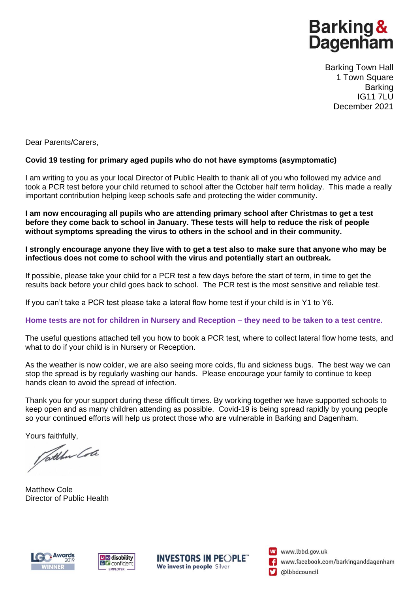# **Barking & Dagenham**

Barking Town Hall 1 Town Square Barking IG11 7LU December 2021

Dear Parents/Carers,

## **Covid 19 testing for primary aged pupils who do not have symptoms (asymptomatic)**

I am writing to you as your local Director of Public Health to thank all of you who followed my advice and took a PCR test before your child returned to school after the October half term holiday. This made a really important contribution helping keep schools safe and protecting the wider community.

**I am now encouraging all pupils who are attending primary school after Christmas to get a test before they come back to school in January. These tests will help to reduce the risk of people without symptoms spreading the virus to others in the school and in their community.**

#### **I strongly encourage anyone they live with to get a test also to make sure that anyone who may be infectious does not come to school with the virus and potentially start an outbreak.**

If possible, please take your child for a PCR test a few days before the start of term, in time to get the results back before your child goes back to school. The PCR test is the most sensitive and reliable test.

If you can't take a PCR test please take a lateral flow home test if your child is in Y1 to Y6.

#### **Home tests are not for children in Nursery and Reception – they need to be taken to a test centre.**

The useful questions attached tell you how to book a PCR test, where to collect lateral flow home tests, and what to do if your child is in Nursery or Reception.

As the weather is now colder, we are also seeing more colds, flu and sickness bugs. The best way we can stop the spread is by regularly washing our hands. Please encourage your family to continue to keep hands clean to avoid the spread of infection.

Thank you for your support during these difficult times. By working together we have supported schools to keep open and as many children attending as possible. Covid-19 is being spread rapidly by young people so your continued efforts will help us protect those who are vulnerable in Barking and Dagenham.

Yours faithfully,<br>*Jothber Cole* 

Matthew Cole Director of Public Health







W www.lbbd.gov.uk www.facebook.com/barkinganddagenham @lbbdcouncil